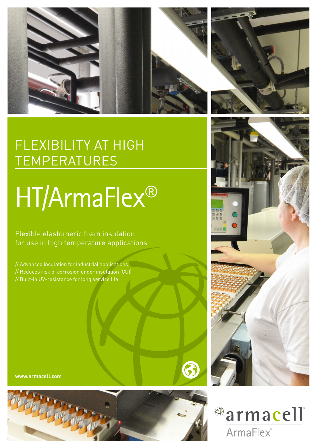



## FLEXIBILITY AT HIGH TEMPERATURES

# HT/ArmaFlex®

Flexible elastomeric foam insulation for use in high temperature applications

// Advanced insulation for industrial applications // Reduces risk of corrosion under insulation (CUI) // Built-in UV-resistance for long service life

**www.armacell.com**







6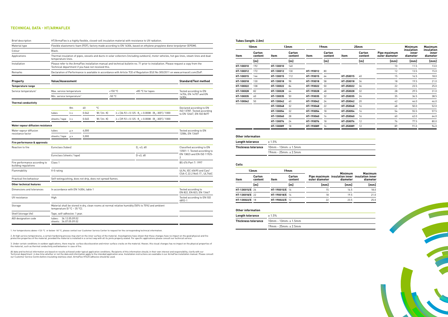1. For temperatures above +125 °C or below -50 °C, please contact our Customer Service Center to request for the corresponding technical information.

2. At high service temperatures, a certain hardening process may start on the inner surface of the material. Investigations have shown that these changes have no impact on the good physical and fire<br>protection properties o

3. Under certain conditions in outdoor applications, there may be surface discolouration and minor surface cracks on the material. Hoever, this visual changes has no impact on the physical properties of<br>the material, such

All data and technical information are based on results achieved under typical application conditions. Recipients of this information should, in their own interest and responsibility, clarify with our<br>Technical department

| Brief description                                     | HT/ArmaFlex is a highly flexible, closed-cell insulation material with resistance to UV radiation.                                                                                          |                                                                                                                                 |                                                        |                                                            |           |                                                                                                      |                                                         |  |  |
|-------------------------------------------------------|---------------------------------------------------------------------------------------------------------------------------------------------------------------------------------------------|---------------------------------------------------------------------------------------------------------------------------------|--------------------------------------------------------|------------------------------------------------------------|-----------|------------------------------------------------------------------------------------------------------|---------------------------------------------------------|--|--|
| Material type                                         | Flexible elastomeric foam (FEF), factory made according to EN 14304, based on ethylene propylene diene terpolymer (EPDM).                                                                   |                                                                                                                                 |                                                        |                                                            |           |                                                                                                      |                                                         |  |  |
| Colour                                                | Black.                                                                                                                                                                                      |                                                                                                                                 |                                                        |                                                            |           |                                                                                                      |                                                         |  |  |
| Applications                                          | Thermal insulation of pipes, vessels and ducts in solar collectors (including outdoors), motor vehicles, hot gas lines, steam lines and dual<br>temperature lines.                          |                                                                                                                                 |                                                        |                                                            |           |                                                                                                      |                                                         |  |  |
| Installation                                          | Please refer to the ArmaFlex installation manual and technical bulletin no. 71 prior to installation. Please request a copy from the<br>Technical department if you have not received this. |                                                                                                                                 |                                                        |                                                            |           |                                                                                                      |                                                         |  |  |
| Remarks                                               |                                                                                                                                                                                             | Declaration of Performance is available in accordance with Article 7(3) of Regulation (EU) No 305/2011 on www.armacell.com/DoP. |                                                        |                                                            |           |                                                                                                      |                                                         |  |  |
| <b>Property</b>                                       |                                                                                                                                                                                             | <b>Standard/Test method</b><br><b>Value/Assessment</b>                                                                          |                                                        |                                                            |           |                                                                                                      |                                                         |  |  |
| <b>Temperature range</b>                              |                                                                                                                                                                                             |                                                                                                                                 |                                                        |                                                            |           |                                                                                                      |                                                         |  |  |
| Service temperature <sup>1</sup>                      | Max. service temperature                                                                                                                                                                    |                                                                                                                                 |                                                        |                                                            | $+150$ °C | +85 °C for tapes                                                                                     | Tested according to EN                                  |  |  |
|                                                       | Min. service temperature <sup>1</sup>                                                                                                                                                       |                                                                                                                                 |                                                        |                                                            | $-50 °C$  |                                                                                                      | 14706, EN 14707 and EN<br>14304                         |  |  |
| <b>Thermal conductivity</b>                           |                                                                                                                                                                                             |                                                                                                                                 |                                                        |                                                            |           |                                                                                                      |                                                         |  |  |
|                                                       |                                                                                                                                                                                             | $\theta$ m                                                                                                                      | 40                                                     | °C.                                                        |           |                                                                                                      | Declared according to EN                                |  |  |
|                                                       | tubes                                                                                                                                                                                       | $\lambda \leq$                                                                                                                  | 0.042                                                  | $W / (m \cdot K)$                                          |           | $\lambda = [36.92 + 0.125 \cdot \theta_m + 0.0008 \cdot (\theta_m - 30)^2]/1000$                     | ISO 13787. Tested according<br>to EN 12667, EN ISO 8497 |  |  |
|                                                       | sheets/tape $\lambda$ $\le$                                                                                                                                                                 |                                                                                                                                 | 0.045                                                  | W/[m K]                                                    |           | $\lambda = [39.92 + 0.125 \cdot \theta_{\rm m} + 0.0008 \cdot (\theta_{\rm m} - 30)^2] \; / \; 1000$ |                                                         |  |  |
| Water vapour diffusion resistance                     |                                                                                                                                                                                             |                                                                                                                                 |                                                        |                                                            |           |                                                                                                      |                                                         |  |  |
| Water vapour diffusion                                | tubes<br>4,000<br>$\mu$ >                                                                                                                                                                   |                                                                                                                                 |                                                        |                                                            |           |                                                                                                      | Tested according to EN                                  |  |  |
| resistance factor                                     | sheets / tape                                                                                                                                                                               | $\mu$ >                                                                                                                         | 3,000                                                  |                                                            |           |                                                                                                      | 12086, EN 13469                                         |  |  |
| Fire performance & approvals                          |                                                                                                                                                                                             |                                                                                                                                 |                                                        |                                                            |           |                                                                                                      |                                                         |  |  |
| Reaction to fire                                      | Euroclass (tubes)                                                                                                                                                                           | Classified according to EN<br>13501-1. Tested according to<br>EN 13823 and EN ISO 11925-<br>$\overline{2}$                      |                                                        |                                                            |           |                                                                                                      |                                                         |  |  |
|                                                       | Euroclass (sheets / tape)                                                                                                                                                                   |                                                                                                                                 |                                                        |                                                            |           |                                                                                                      |                                                         |  |  |
| Fire performance according to<br>building regulations | Class 1                                                                                                                                                                                     |                                                                                                                                 | BS 476 Part 7: 1997                                    |                                                            |           |                                                                                                      |                                                         |  |  |
| Flammability                                          | V-0 rating                                                                                                                                                                                  |                                                                                                                                 | UL94, IEC 60695 and Can/<br>CSA-C.22.2 No0.17., UL746C |                                                            |           |                                                                                                      |                                                         |  |  |
| Practical fire behaviour                              |                                                                                                                                                                                             |                                                                                                                                 |                                                        | Self-extinguishing, does not drip, does not spread flames. |           |                                                                                                      |                                                         |  |  |
| Other technical features                              |                                                                                                                                                                                             |                                                                                                                                 |                                                        |                                                            |           |                                                                                                      |                                                         |  |  |
| Dimensions and tolerances                             |                                                                                                                                                                                             | In accordance with EN 14304, table 1                                                                                            |                                                        |                                                            |           |                                                                                                      |                                                         |  |  |
| UV resistance                                         | High                                                                                                                                                                                        |                                                                                                                                 |                                                        |                                                            |           |                                                                                                      | Tested according to EN ISO<br>4892-1                    |  |  |
| Storage                                               | temperature $[0 °C - 35 °C]$ .                                                                                                                                                              |                                                                                                                                 |                                                        |                                                            |           | Material shall be stored in dry, clean rooms at normal relative humidity (50% to 70%) and ambient    |                                                         |  |  |
| Shelf (storage life)                                  | Tape, self-adhesive: 1 year.                                                                                                                                                                |                                                                                                                                 |                                                        |                                                            |           |                                                                                                      |                                                         |  |  |
| AGI designation code                                  | tubes:                                                                                                                                                                                      | 36.12.05.09.02<br>sheets: 36.07.05.09.02                                                                                        |                                                        |                                                            |           |                                                                                                      |                                                         |  |  |

#### **Tubes (length: 2.0m)**

| 10mm      |                   |           | 13mm              |           | 19mm              |           | 25 <sub>mm</sub>  |                                | <b>Minimum</b>                  | <b>Maximum</b>                  |
|-----------|-------------------|-----------|-------------------|-----------|-------------------|-----------|-------------------|--------------------------------|---------------------------------|---------------------------------|
| Item      | Carton<br>content | Item      | Carton<br>content | Item      | Carton<br>content | Item      | Carton<br>content | Pipe maximum<br>outer diameter | insulation<br>inner<br>diameter | insulation<br>inner<br>diameter |
|           | [m]               |           | [m]               |           | [m]               |           | [m]               | [mm]                           | [mm]                            | [mm]                            |
| HT-10X010 | 192               | HT-13X010 | 140               |           |                   |           |                   | 10                             | 11.5                            | 13.0                            |
| HT-10X012 | 172               | HT-13X012 | 130               | HT-19X012 | 80                |           |                   | 12                             | 13.5                            | 15.0                            |
| HT-10X015 | 144               | HT-13X015 | 112               | HT-19X015 | 64                | HT-25X015 | 40                | 15                             | 16.5                            | 18.0                            |
| HT-10X018 | 130               | HT-13X018 | 98                | HT-19X018 | 58                | HT-25X018 | 36                | 18                             | 19.5                            | 21.0                            |
| HT-10X022 | 108               | HT-13X022 | 84                | HT-19X022 | 50                | HT-25X022 | 36                | 22                             | 23.5                            | 25.0                            |
| HT-10X028 | 82                | HT-13X028 | 64                | HT-19X028 | 48                | HT-25X028 | 32                | 28                             | 29.5                            | 31.0                            |
| HT-10X035 | 60                | HT-13X035 | 50                | HT-19X035 | 32                | HT-25X035 | 24                | 35                             | 36.5                            | 38.5                            |
| HT-10X042 | 50                | HT-13X042 | 40                | HT-19X042 | 24                | HT-25X042 | 20                | 42                             | 44.0                            | 46.0                            |
|           |                   | HT-13X048 | 32                | HT-19X048 | 22                | HT-25X048 | 16                | 48                             | 50.0                            | 52.0                            |
|           |                   | HT-13X054 | 32                | HT-19X054 | 18                | HT-25X054 | 16                | 54                             | 55.5                            | 57.5                            |
|           |                   | HT-13X060 | 28                | HT-19X060 | 16                | HT-25X060 | 16                | 60                             | 62.0                            | 64.0                            |
|           |                   | HT-13X076 | 24                | HT-19X076 | 18                | HT-25X076 | 12                | 76                             | 77.5                            | 80.0                            |
|           |                   | HT-13X089 | 18                | HT-19X089 | 16                | HT-25X089 | 12                | 89                             | 91.0                            | 94.0                            |

### **Other information Length tolerance**  $\pm 1.5\%$ **Thickness tolerance** 10mm - 13mm: ± 1.5mm 19mm - 25mm: ± 2.5mm

#### **TECHNICAL DATA - HT/ARMAFLEX**

#### **Coils**

| 13mm           |                          | 19mm           |                   |                |                                                                              |                            |  |
|----------------|--------------------------|----------------|-------------------|----------------|------------------------------------------------------------------------------|----------------------------|--|
| Item           | <b>Carton</b><br>content | Item           | Carton<br>content | outer diameter | <b>Minimum</b><br>Pipe maximum insulation inner insulation inner<br>diameter | <b>Maximum</b><br>diameter |  |
|                | [m]                      |                | [m]               | [mm]           | [mm]                                                                         | [mm]                       |  |
| HT-13X015/E 26 |                          | HT-19X015/E 16 |                   | 15             | 16.5                                                                         | 18.0                       |  |
| HT-13X018/E 22 |                          | HT-19X018/E 14 |                   | 18             | 19.5                                                                         | 21.0                       |  |
| HT-13X022/E 18 |                          | HT-19X022/E 12 |                   | 22             | 23.5                                                                         | 25.0                       |  |
|                |                          |                |                   |                |                                                                              |                            |  |

#### **Other information**

| Length tolerance           | ± 1.5%                          |  |  |  |  |
|----------------------------|---------------------------------|--|--|--|--|
| <b>Thickness tolerance</b> | $10mm - 13mm : ± 1.5mm$         |  |  |  |  |
|                            | $19$ mm - $25$ mm: $\pm 2.5$ mm |  |  |  |  |